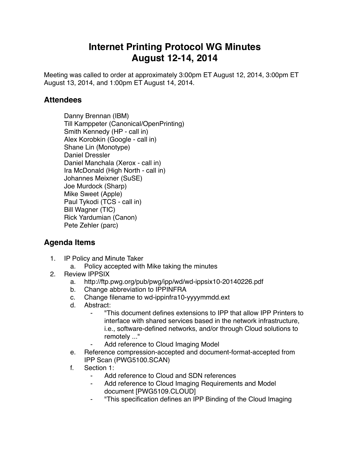## **Internet Printing Protocol WG Minutes August 12-14, 2014**

Meeting was called to order at approximately 3:00pm ET August 12, 2014, 3:00pm ET August 13, 2014, and 1:00pm ET August 14, 2014.

## **Attendees**

Danny Brennan (IBM) Till Kamppeter (Canonical/OpenPrinting) Smith Kennedy (HP - call in) Alex Korobkin (Google - call in) Shane Lin (Monotype) Daniel Dressler Daniel Manchala (Xerox - call in) Ira McDonald (High North - call in) Johannes Meixner (SuSE) Joe Murdock (Sharp) Mike Sweet (Apple) Paul Tykodi (TCS - call in) Bill Wagner (TIC) Rick Yardumian (Canon) Pete Zehler (parc)

## **Agenda Items**

- 1. IP Policy and Minute Taker
	- a. Policy accepted with Mike taking the minutes
- 2. Review IPPSIX
	- a. http://ftp.pwg.org/pub/pwg/ipp/wd/wd-ippsix10-20140226.pdf
	- b. Change abbreviation to IPPINFRA
	- c. Change filename to wd-ippinfra10-yyyymmdd.ext
	- d. Abstract:
		- ⁃ "This document defines extensions to IPP that allow IPP Printers to interface with shared services based in the network infrastructure, i.e., software-defined networks, and/or through Cloud solutions to remotely ..."
		- Add reference to Cloud Imaging Model
	- e. Reference compression-accepted and document-format-accepted from IPP Scan (PWG5100.SCAN)
	- f. Section 1:
		- Add reference to Cloud and SDN references
		- Add reference to Cloud Imaging Requirements and Model document [PWG5109.CLOUD]
		- ⁃ "This specification defines an IPP Binding of the Cloud Imaging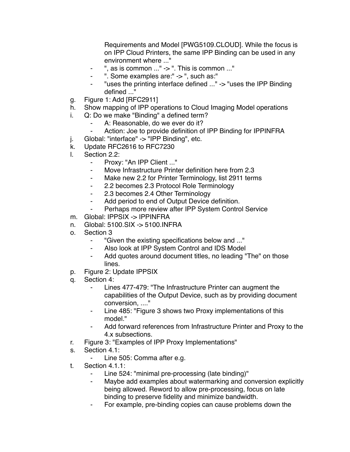Requirements and Model [PWG5109.CLOUD]. While the focus is on IPP Cloud Printers, the same IPP Binding can be used in any environment where ..."

- ", as is common  $\ldots$ " -> ". This is common  $\ldots$ "
- ". Some examples are:" -> ", such as:"
- "uses the printing interface defined ..." -> "uses the IPP Binding defined ..."
- g. Figure 1: Add [RFC2911]
- h. Show mapping of IPP operations to Cloud Imaging Model operations
- i. Q: Do we make "Binding" a defined term?
	- A: Reasonable, do we ever do it?
	- ⁃ Action: Joe to provide definition of IPP Binding for IPPINFRA
- j. Global: "interface" -> "IPP Binding", etc.
- k. Update RFC2616 to RFC7230
- l. Section 2.2:
	- Proxy: "An IPP Client ..."
	- ⁃ Move Infrastructure Printer definition here from 2.3
	- ⁃ Make new 2.2 for Printer Terminology, list 2911 terms
	- ⁃ 2.2 becomes 2.3 Protocol Role Terminology
	- ⁃ 2.3 becomes 2.4 Other Terminology
	- ⁃ Add period to end of Output Device definition.
	- ⁃ Perhaps more review after IPP System Control Service
- m. Global: IPPSIX -> IPPINFRA
- n. Global: 5100.SIX -> 5100.INFRA
- o. Section 3
	- "Given the existing specifications below and ..."
	- ⁃ Also look at IPP System Control and IDS Model
	- ⁃ Add quotes around document titles, no leading "The" on those lines.
- p. Figure 2: Update IPPSIX
- q. Section 4:
	- ⁃ Lines 477-479: "The Infrastructure Printer can augment the capabilities of the Output Device, such as by providing document conversion, ...."
	- ⁃ Line 485: "Figure 3 shows two Proxy implementations of this model."
	- ⁃ Add forward references from Infrastructure Printer and Proxy to the 4.x subsections.
- r. Figure 3: "Examples of IPP Proxy Implementations"
- s. Section 4.1:
	- Line 505: Comma after e.g.
- t. Section 4.1.1:
	- Line 524: "minimal pre-processing (late binding)"
	- ⁃ Maybe add examples about watermarking and conversion explicitly being allowed. Reword to allow pre-processing, focus on late binding to preserve fidelity and minimize bandwidth.
	- For example, pre-binding copies can cause problems down the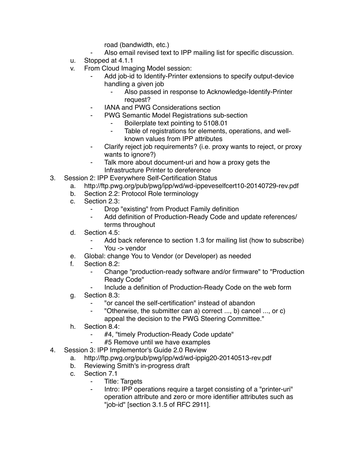road (bandwidth, etc.)

- Also email revised text to IPP mailing list for specific discussion.
- u. Stopped at 4.1.1
- v. From Cloud Imaging Model session:
	- Add job-id to Identify-Printer extensions to specify output-device handling a given job
		- ⁃ Also passed in response to Acknowledge-Identify-Printer request?
	- **IANA and PWG Considerations section**
	- ⁃ PWG Semantic Model Registrations sub-section
		- ⁃ Boilerplate text pointing to 5108.01
		- ⁃ Table of registrations for elements, operations, and wellknown values from IPP attributes
	- Clarify reject job requirements? (i.e. proxy wants to reject, or proxy wants to ignore?)
	- Talk more about document-uri and how a proxy gets the Infrastructure Printer to dereference
- 3. Session 2: IPP Everywhere Self-Certification Status
	- a. http://ftp.pwg.org/pub/pwg/ipp/wd/wd-ippeveselfcert10-20140729-rev.pdf
		- b. Section 2.2: Protocol Role terminology
		- c. Section 2.3:
			- ⁃ Drop "existing" from Product Family definition
			- Add definition of Production-Ready Code and update references/ terms throughout
		- d. Section 4.5:
			- Add back reference to section 1.3 for mailing list (how to subscribe)
			- ⁃ You -> vendor
		- e. Global: change You to Vendor (or Developer) as needed
	- f. Section 8.2:
		- Change "production-ready software and/or firmware" to "Production Ready Code"
		- Include a definition of Production-Ready Code on the web form
	- g. Section 8.3:
		- ⁃ "or cancel the self-certification" instead of abandon
		- ⁃ "Otherwise, the submitter can a) correct ..., b) cancel ..., or c) appeal the decision to the PWG Steering Committee."
	- h. Section 8.4:
		- #4, "timely Production-Ready Code update"
		- #5 Remove until we have examples
- 4. Session 3: IPP Implementor's Guide 2.0 Review
	- a. http://ftp.pwg.org/pub/pwg/ipp/wd/wd-ippig20-20140513-rev.pdf
	- b. Reviewing Smith's in-progress draft
	- c. Section 7.1
		- ⁃ Title: Targets
		- ⁃ Intro: IPP operations require a target consisting of a "printer-uri" operation attribute and zero or more identifier attributes such as "job-id" [section 3.1.5 of RFC 2911].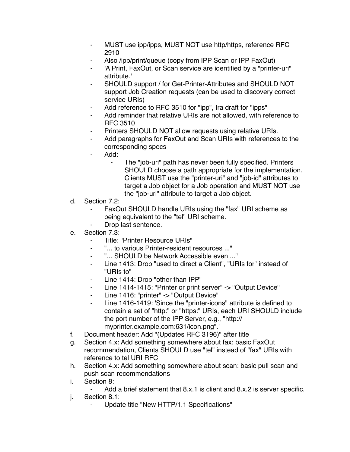- MUST use ipp/ipps, MUST NOT use http/https, reference RFC 2910
- Also /ipp/print/queue (copy from IPP Scan or IPP FaxOut)
- 'A Print, FaxOut, or Scan service are identified by a "printer-uri" attribute.'
- SHOULD support / for Get-Printer-Attributes and SHOULD NOT support Job Creation requests (can be used to discovery correct service URIs)
- Add reference to RFC 3510 for "ipp", Ira draft for "ipps"
- Add reminder that relative URIs are not allowed, with reference to RFC 3510
- Printers SHOULD NOT allow requests using relative URIs.
- Add paragraphs for FaxOut and Scan URIs with references to the corresponding specs
- Add:
	- The "job-uri" path has never been fully specified. Printers SHOULD choose a path appropriate for the implementation. Clients MUST use the "printer-uri" and "job-id" attributes to target a Job object for a Job operation and MUST NOT use the "job-uri" attribute to target a Job object.
- d. Section 7.2:
	- FaxOut SHOULD handle URIs using the "fax" URI scheme as being equivalent to the "tel" URI scheme.
	- Drop last sentence.
- e. Section 7.3:
	- Title: "Printer Resource URIs"
	- ⁃ "... to various Printer-resident resources ..."
	- ⁃ "... SHOULD be Network Accessible even ..."
	- Line 1413: Drop "used to direct a Client", "URIs for" instead of "URIs to"
	- Line 1414: Drop "other than IPP"
	- ⁃ Line 1414-1415: "Printer or print server" -> "Output Device"
	- Line 1416: "printer" -> "Output Device"
	- ⁃ Line 1416-1419: 'Since the "printer-icons" attribute is defined to contain a set of "http:" or "https:" URIs, each URI SHOULD include the port number of the IPP Server, e.g., "http:// myprinter.example.com:631/icon.png".'
- f. Document header: Add "(Updates RFC 3196)" after title
- g. Section 4.x: Add something somewhere about fax: basic FaxOut recommendation, Clients SHOULD use "tel" instead of "fax" URIs with reference to tel URI RFC
- h. Section 4.x: Add something somewhere about scan: basic pull scan and push scan recommendations
- i. Section 8:
	- Add a brief statement that 8.x.1 is client and 8.x.2 is server specific.
- j. Section 8.1:
	- Update title "New HTTP/1.1 Specifications"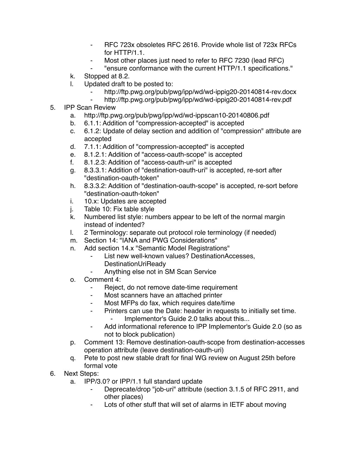- ⁃ RFC 723x obsoletes RFC 2616. Provide whole list of 723x RFCs for HTTP/1.1.
- ⁃ Most other places just need to refer to RFC 7230 (lead RFC)
- ⁃ "ensure conformance with the current HTTP/1.1 specifications."
- k. Stopped at 8.2.
- l. Updated draft to be posted to:
	- http://ftp.pwg.org/pub/pwg/ipp/wd/wd-ippig20-20140814-rev.docx
		- http://ftp.pwg.org/pub/pwg/ipp/wd/wd-ippig20-20140814-rev.pdf
- 5. IPP Scan Review
	- a. http://ftp.pwg.org/pub/pwg/ipp/wd/wd-ippscan10-20140806.pdf
	- b. 6.1.1: Addition of "compression-accepted" is accepted
	- c. 6.1.2: Update of delay section and addition of "compression" attribute are accepted
	- d. 7.1.1: Addition of "compression-accepted" is accepted
	- e. 8.1.2.1: Addition of "access-oauth-scope" is accepted
	- f. 8.1.2.3: Addition of "access-oauth-uri" is accepted
	- g. 8.3.3.1: Addition of "destination-oauth-uri" is accepted, re-sort after "destination-oauth-token"
	- h. 8.3.3.2: Addition of "destination-oauth-scope" is accepted, re-sort before "destination-oauth-token"
	- i. 10.x: Updates are accepted
	- j. Table 10: Fix table style
	- k. Numbered list style: numbers appear to be left of the normal margin instead of indented?
	- l. 2 Terminology: separate out protocol role terminology (if needed)
	- m. Section 14: "IANA and PWG Considerations"
	- n. Add section 14.x "Semantic Model Registrations"
		- ⁃ List new well-known values? DestinationAccesses, **DestinationUriReady**
		- Anything else not in SM Scan Service
	- o. Comment 4:
		- ⁃ Reject, do not remove date-time requirement
		- Most scanners have an attached printer
		- ⁃ Most MFPs do fax, which requires date/time
		- ⁃ Printers can use the Date: header in requests to initially set time. Implementor's Guide 2.0 talks about this...
		- ⁃ Add informational reference to IPP Implementor's Guide 2.0 (so as not to block publication)
	- p. Comment 13: Remove destination-oauth-scope from destination-accesses operation attribute (leave destination-oauth-uri)
	- q. Pete to post new stable draft for final WG review on August 25th before formal vote
- 6. Next Steps:
	- a. IPP/3.0? or IPP/1.1 full standard update
		- Deprecate/drop "job-uri" attribute (section 3.1.5 of RFC 2911, and other places)
		- Lots of other stuff that will set of alarms in IETF about moving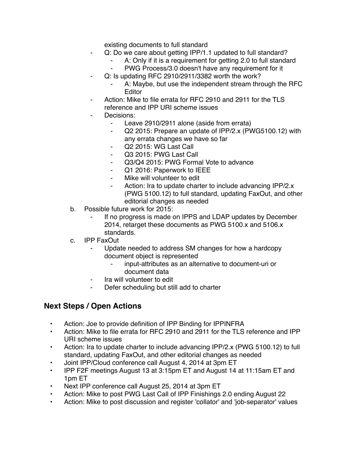existing documents to full standard

- Q: Do we care about getting IPP/1.1 updated to full standard?
	- A: Only if it is a requirement for getting 2.0 to full standard
	- PWG Process/3.0 doesn't have any requirement for it
- ⁃ Q: Is updating RFC 2910/2911/3382 worth the work?
	- A: Maybe, but use the independent stream through the RFC **Editor**
- Action: Mike to file errata for RFC 2910 and 2911 for the TLS reference and IPP URI scheme issues
- Decisions:
	- ⁃ Leave 2910/2911 alone (aside from errata)
	- ⁃ Q2 2015: Prepare an update of IPP/2.x (PWG5100.12) with any errata changes we have so far
	- Q2 2015: WG Last Call
	- ⁃ Q3 2015: PWG Last Call
	- Q3/Q4 2015: PWG Formal Vote to advance
	- Q1 2016: Paperwork to IEEE
	- Mike will volunteer to edit
	- Action: Ira to update charter to include advancing IPP/2.x (PWG 5100.12) to full standard, updating FaxOut, and other editorial changes as needed
- b. Possible future work for 2015:
	- If no progress is made on IPPS and LDAP updates by December 2014, retarget these documents as PWG 5100.x and 5106.x standards.
- c. IPP FaxOut
	- ⁃ Update needed to address SM changes for how a hardcopy document object is represented
		- input-attributes as an alternative to document-uri or document data
	- ⁃ Ira will volunteer to edit
	- ⁃ Defer scheduling but still add to charter

## **Next Steps / Open Actions**

- Action: Joe to provide definition of IPP Binding for IPPINFRA
- Action: Mike to file errata for RFC 2910 and 2911 for the TLS reference and IPP URI scheme issues
- Action: Ira to update charter to include advancing IPP/2.x (PWG 5100.12) to full standard, updating FaxOut, and other editorial changes as needed
- Joint IPP/Cloud conference call August 4, 2014 at 3pm ET
- IPP F2F meetings August 13 at 3:15pm ET and August 14 at 11:15am ET and 1pm ET
- Next IPP conference call August 25, 2014 at 3pm ET
- Action: Mike to post PWG Last Call of IPP Finishings 2.0 ending August 22
- Action: Mike to post discussion and register 'collator' and 'job-separator' values